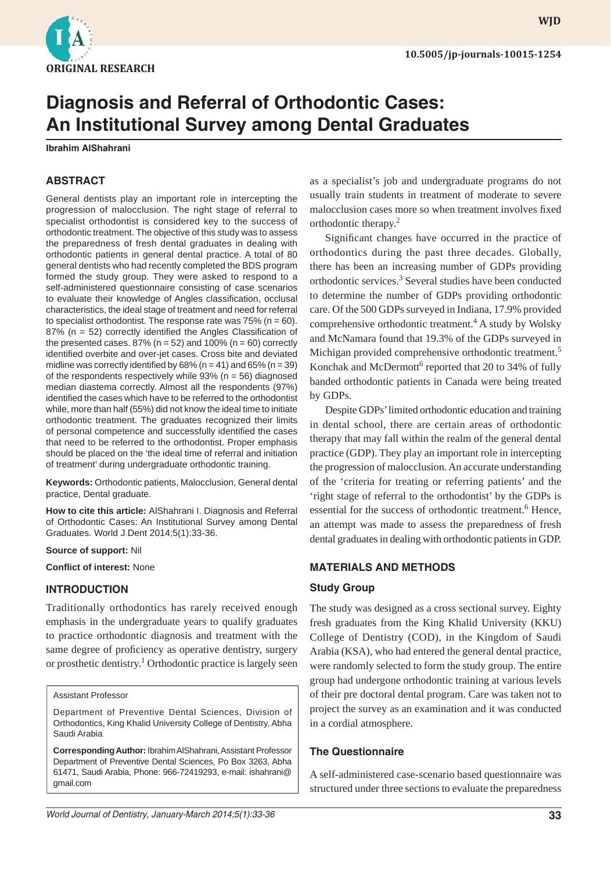

**WJD**

# **Diagnosis and Referral of Orthodontic Cases: An Institutional Survey among Dental Graduates**

**Ibrahim AlShahrani**

# **ABSTRACT**

General dentists play an important role in intercepting the progression of malocclusion. The right stage of referral to specialist orthodontist is considered key to the success of orthodontic treatment. The objective of this study was to assess the preparedness of fresh dental graduates in dealing with orthodontic patients in general dental practice. A total of 80 general dentists who had recently completed the BDS program formed the study group. They were asked to respond to a self-administered questionnaire consisting of case scenarios to evaluate their knowledge of Angles classification, occlusal characteristics, the ideal stage of treatment and need for referral to specialist orthodontist. The response rate was  $75\%$  (n = 60). 87% ( $n = 52$ ) correctly identified the Angles Classification of the presented cases.  $87\%$  (n = 52) and  $100\%$  (n = 60) correctly identified overbite and over-jet cases. Cross bite and deviated midline was correctly identified by  $68\%$  (n = 41) and  $65\%$  (n = 39) of the respondents respectively while  $93\%$  (n = 56) diagnosed median diastema correctly. Almost all the respondents (97%) identified the cases which have to be referred to the orthodontist while, more than half (55%) did not know the ideal time to initiate orthodontic treatment. The graduates recognized their limits of personal competence and successfully identified the cases that need to be referred to the orthodontist. Proper emphasis should be placed on the 'the ideal time of referral and initiation of treatment' during undergraduate orthodontic training.

**Keywords:** Orthodontic patients, Malocclusion, General dental practice, Dental graduate.

**How to cite this article:** AlShahrani I. Diagnosis and Referral of Orthodontic Cases: An Institutional Survey among Dental Graduates. World J Dent 2014;5(1):33-36.

**Source of support:** Nil

**Conflict of interest: None** 

#### **INTRODUCTION**

Traditionally orthodontics has rarely received enough emphasis in the undergraduate years to qualify graduates to practice orthodontic diagnosis and treatment with the same degree of proficiency as operative dentistry, surgery or prosthetic dentistry.<sup>1</sup> Orthodontic practice is largely seen

#### Assistant Professor

Department of Preventive Dental Sciences, Division of Orthodontics, King Khalid University College of Dentistry, Abha Saudi Arabia

**Corresponding Author:** Ibrahim AlShahrani, Assistant Professor Department of Preventive Dental Sciences, Po Box 3263, Abha 61471, Saudi Arabia, Phone: 966-72419293, e-mail: ishahrani@ gmail.com

as a specialist's job and undergraduate programs do not usually train students in treatment of moderate to severe malocclusion cases more so when treatment involves fixed orthodontic therapy.2

Significant changes have occurred in the practice of orthodontics during the past three decades. Globally, there has been an increasing number of GDPs providing orthodontic services.<sup>3</sup> Several studies have been conducted to determine the number of GDPs providing orthodontic care. Of the 500 GDPs surveyed in Indiana, 17.9% provided comprehensive orthodontic treatment.<sup>4</sup> A study by Wolsky and McNamara found that 19.3% of the GDPs surveyed in Michigan provided comprehensive orthodontic treatment.<sup>5</sup> Konchak and McDermott<sup>6</sup> reported that 20 to 34% of fully banded orthodontic patients in Canada were being treated by GDPs.

Despite GDPs' limited orthodontic education and training in dental school, there are certain areas of orthodontic therapy that may fall within the realm of the general dental practice (GDP). They play an important role in intercepting the progression of malocclusion. An accurate understanding of the 'criteria for treating or referring patients' and the 'right stage of referral to the orthodontist' by the GDPs is essential for the success of orthodontic treatment.<sup>6</sup> Hence, an attempt was made to assess the preparedness of fresh dental graduates in dealing with orthodontic patients in GDP.

## **MATERIALS AND METHODS**

#### **Study Group**

The study was designed as a cross sectional survey. Eighty fresh graduates from the King Khalid University (KKU) College of Dentistry (COD), in the Kingdom of Saudi Arabia (KSA), who had entered the general dental practice, were randomly selected to form the study group. The entire group had undergone orthodontic training at various levels of their pre doctoral dental program. Care was taken not to project the survey as an examination and it was conducted in a cordial atmosphere.

# **The Questionnaire**

A self-administered case-scenario based questionnaire was structured under three sections to evaluate the preparedness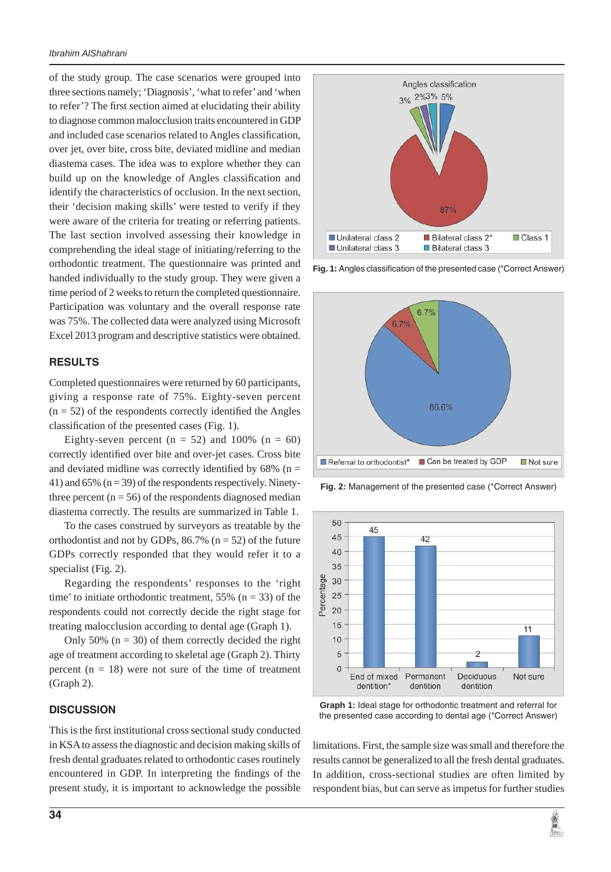of the study group. The case scenarios were grouped into three sections namely; 'Diagnosis', 'what to refer' and 'when to refer'? The first section aimed at elucidating their ability to diagnose common malocclusion traits encountered in GDP and included case scenarios related to Angles classification, over jet, over bite, cross bite, deviated midline and median diastema cases. The idea was to explore whether they can build up on the knowledge of Angles classification and identify the characteristics of occlusion. In the next section, their 'decision making skills' were tested to verify if they were aware of the criteria for treating or referring patients. The last section involved assessing their knowledge in comprehending the ideal stage of initiating/referring to the orthodontic treatment. The questionnaire was printed and handed individually to the study group. They were given a time period of 2 weeks to return the completed questionnaire. Participation was voluntary and the overall response rate was 75%. The collected data were analyzed using Microsoft Excel 2013 program and descriptive statistics were obtained.

## **RESULTS**

Completed questionnaires were returned by 60 participants, giving a response rate of 75%. Eighty-seven percent  $(n = 52)$  of the respondents correctly identified the Angles classification of the presented cases (Fig. 1).

Eighty-seven percent ( $n = 52$ ) and 100% ( $n = 60$ ) correctly identified over bite and over-jet cases. Cross bite and deviated midline was correctly identified by  $68\%$  (n = 41) and 65%  $(n = 39)$  of the respondents respectively. Ninetythree percent  $(n = 56)$  of the respondents diagnosed median diastema correctly. The results are summarized in Table 1.

To the cases construed by surveyors as treatable by the orthodontist and not by GDPs,  $86.7\%$  (n = 52) of the future GDPs correctly responded that they would refer it to a specialist (Fig. 2).

Regarding the respondents' responses to the 'right time' to initiate orthodontic treatment,  $55\%$  (n = 33) of the respondents could not correctly decide the right stage for treating malocclusion according to dental age (Graph 1).

Only 50%  $(n = 30)$  of them correctly decided the right age of treatment according to skeletal age (Graph 2). Thirty percent  $(n = 18)$  were not sure of the time of treatment (Graph 2).

#### **DISCUSSION**

This is the first institutional cross sectional study conducted in KSA to assess the diagnostic and decision making skills of fresh dental graduates related to orthodontic cases routinely encountered in GDP. In interpreting the findings of the present study, it is important to acknowledge the possible



Fig. 1: Angles classification of the presented case (\*Correct Answer)



**Fig. 2:** Management of the presented case (\*Correct Answer)



**Graph 1:** Ideal stage for orthodontic treatment and referral for the presented case according to dental age (\*Correct Answer)

limitations. First, the sample size was small and therefore the results cannot be generalized to all the fresh dental graduates. In addition, cross-sectional studies are often limited by respondent bias, but can serve as impetus for further studies

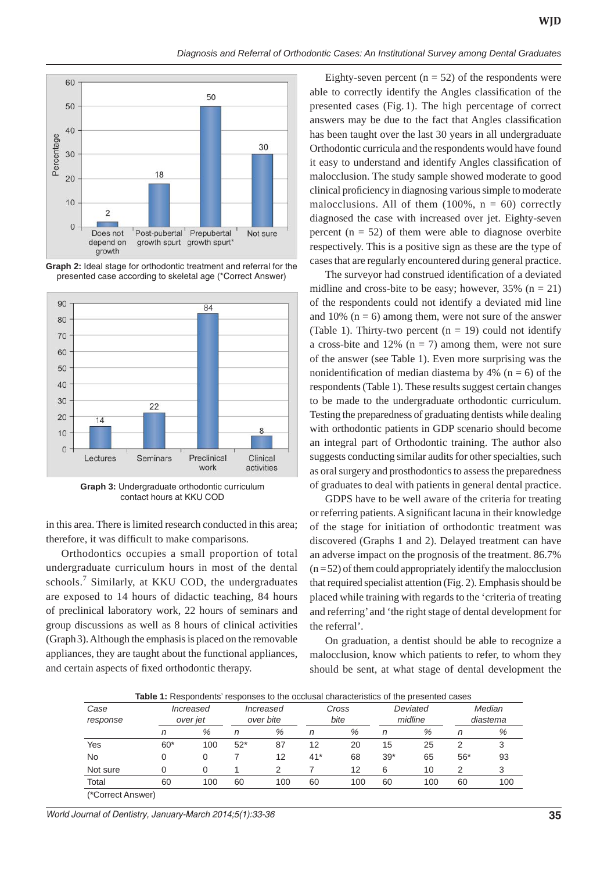

**Graph 2:** Ideal stage for orthodontic treatment and referral for the presented case according to skeletal age (\*Correct Answer)



**Graph 3:** Undergraduate orthodontic curriculum contact hours at KKU COD

in this area. There is limited research conducted in this area; therefore, it was difficult to make comparisons.

Orthodontics occupies a small proportion of total undergraduate curriculum hours in most of the dental schools.<sup>7</sup> Similarly, at KKU COD, the undergraduates are exposed to 14 hours of didactic teaching, 84 hours of preclinical laboratory work, 22 hours of seminars and group discussions as well as 8 hours of clinical activities (Graph 3). Although the emphasis is placed on the removable appliances, they are taught about the functional appliances, and certain aspects of fixed orthodontic therapy.

Eighty-seven percent ( $n = 52$ ) of the respondents were able to correctly identify the Angles classification of the presented cases (Fig. 1). The high percentage of correct answers may be due to the fact that Angles classification has been taught over the last 30 years in all undergraduate Orthodontic curricula and the respondents would have found it easy to understand and identify Angles classification of malocclusion. The study sample showed moderate to good clinical proficiency in diagnosing various simple to moderate malocclusions. All of them  $(100\% , n = 60)$  correctly diagnosed the case with increased over jet. Eighty-seven percent  $(n = 52)$  of them were able to diagnose overbite respectively. This is a positive sign as these are the type of cases that are regularly encountered during general practice.

The surveyor had construed identification of a deviated midline and cross-bite to be easy; however,  $35\%$  (n = 21) of the respondents could not identify a deviated mid line and 10% ( $n = 6$ ) among them, were not sure of the answer (Table 1). Thirty-two percent ( $n = 19$ ) could not identify a cross-bite and 12%  $(n = 7)$  among them, were not sure of the answer (see Table 1). Even more surprising was the nonidentification of median diastema by 4% ( $n = 6$ ) of the respondents (Table 1). These results suggest certain changes to be made to the undergraduate orthodontic curriculum. Testing the preparedness of graduating dentists while dealing with orthodontic patients in GDP scenario should become an integral part of Orthodontic training. The author also suggests conducting similar audits for other specialties, such as oral surgery and prosthodontics to assess the preparedness of graduates to deal with patients in general dental practice.

GDPS have to be well aware of the criteria for treating or referring patients. A significant lacuna in their knowledge of the stage for initiation of orthodontic treatment was discovered (Graphs 1 and 2). Delayed treatment can have an adverse impact on the prognosis of the treatment. 86.7%  $(n=52)$  of them could appropriately identify the malocclusion that required specialist attention (Fig. 2). Emphasis should be placed while training with regards to the 'criteria of treating and referring' and 'the right stage of dental development for the referral'.

On graduation, a dentist should be able to recognize a malocclusion, know which patients to refer, to whom they should be sent, at what stage of dental development the

**Table 1:** Respondents' responses to the occlusal characteristics of the presented cases

| Case<br>response      | Increased<br>over jet |     | Increased<br>over bite |     | Cross<br>bite |     | Deviated<br>midline |     | Median<br>diastema |     |
|-----------------------|-----------------------|-----|------------------------|-----|---------------|-----|---------------------|-----|--------------------|-----|
|                       | n                     | %   | n                      | %   | n             | %   | n                   | %   | n                  | %   |
| Yes                   | $60*$                 | 100 | $52*$                  | 87  | 12            | 20  | 15                  | 25  | 2                  | 3   |
| <b>No</b>             |                       |     |                        | 12  | $41*$         | 68  | $39*$               | 65  | $56*$              | 93  |
| Not sure              |                       |     |                        |     |               | 12  | 6                   | 10  | 2                  |     |
| Total                 | 60                    | 100 | 60                     | 100 | 60            | 100 | 60                  | 100 | 60                 | 100 |
| $(x \cap \mathbb{R})$ |                       |     |                        |     |               |     |                     |     |                    |     |

(\*Correct Answer)

*World Journal of Dentistry, January-March 2014;5(1):33-36* **35**